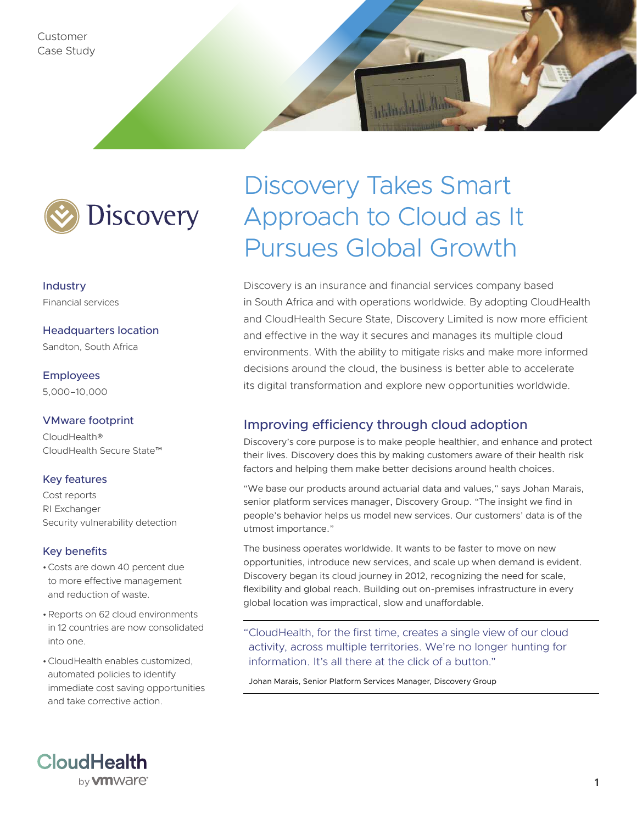Customer Case Study



Industry Financial services

Headquarters location Sandton, South Africa

Employees 5,000–10,000

#### VMware footprint

CloudHealth® CloudHealth Secure State™

#### Key features

Cost reports RI Exchanger Security vulnerability detection

#### Key benefits

- •Costs are down 40 percent due to more effective management and reduction of waste.
- •Reports on 62 cloud environments in 12 countries are now consolidated into one.
- •CloudHealth enables customized, automated policies to identify immediate cost saving opportunities and take corrective action.



# Discovery Takes Smart Approach to Cloud as It Pursues Global Growth

Discovery is an insurance and financial services company based in South Africa and with operations worldwide. By adopting CloudHealth and CloudHealth Secure State, Discovery Limited is now more efficient and effective in the way it secures and manages its multiple cloud environments. With the ability to mitigate risks and make more informed decisions around the cloud, the business is better able to accelerate its digital transformation and explore new opportunities worldwide.

## Improving efficiency through cloud adoption

Discovery's core purpose is to make people healthier, and enhance and protect their lives. Discovery does this by making customers aware of their health risk factors and helping them make better decisions around health choices.

"We base our products around actuarial data and values," says Johan Marais, senior platform services manager, Discovery Group. "The insight we find in people's behavior helps us model new services. Our customers' data is of the utmost importance."

The business operates worldwide. It wants to be faster to move on new opportunities, introduce new services, and scale up when demand is evident. Discovery began its cloud journey in 2012, recognizing the need for scale, flexibility and global reach. Building out on-premises infrastructure in every global location was impractical, slow and unaffordable.

"CloudHealth, for the first time, creates a single view of our cloud activity, across multiple territories. We're no longer hunting for information. It's all there at the click of a button."

Johan Marais, Senior Platform Services Manager, Discovery Group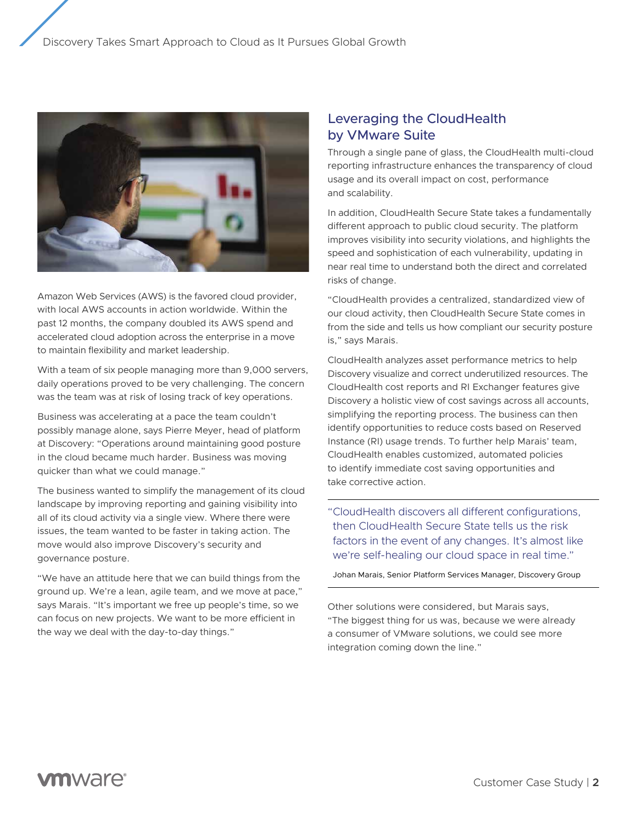

Amazon Web Services (AWS) is the favored cloud provider, with local AWS accounts in action worldwide. Within the past 12 months, the company doubled its AWS spend and accelerated cloud adoption across the enterprise in a move to maintain flexibility and market leadership.

With a team of six people managing more than 9,000 servers, daily operations proved to be very challenging. The concern was the team was at risk of losing track of key operations.

Business was accelerating at a pace the team couldn't possibly manage alone, says Pierre Meyer, head of platform at Discovery: "Operations around maintaining good posture in the cloud became much harder. Business was moving quicker than what we could manage."

The business wanted to simplify the management of its cloud landscape by improving reporting and gaining visibility into all of its cloud activity via a single view. Where there were issues, the team wanted to be faster in taking action. The move would also improve Discovery's security and governance posture.

"We have an attitude here that we can build things from the ground up. We're a lean, agile team, and we move at pace," says Marais. "It's important we free up people's time, so we can focus on new projects. We want to be more efficient in the way we deal with the day-to-day things."

## Leveraging the CloudHealth by VMware Suite

Through a single pane of glass, the CloudHealth multi-cloud reporting infrastructure enhances the transparency of cloud usage and its overall impact on cost, performance and scalability.

In addition, CloudHealth Secure State takes a fundamentally different approach to public cloud security. The platform improves visibility into security violations, and highlights the speed and sophistication of each vulnerability, updating in near real time to understand both the direct and correlated risks of change.

"CloudHealth provides a centralized, standardized view of our cloud activity, then CloudHealth Secure State comes in from the side and tells us how compliant our security posture is," says Marais.

CloudHealth analyzes asset performance metrics to help Discovery visualize and correct underutilized resources. The CloudHealth cost reports and RI Exchanger features give Discovery a holistic view of cost savings across all accounts, simplifying the reporting process. The business can then identify opportunities to reduce costs based on Reserved Instance (RI) usage trends. To further help Marais' team, CloudHealth enables customized, automated policies to identify immediate cost saving opportunities and take corrective action.

"CloudHealth discovers all different configurations, then CloudHealth Secure State tells us the risk factors in the event of any changes. It's almost like we're self-healing our cloud space in real time."

Johan Marais, Senior Platform Services Manager, Discovery Group

Other solutions were considered, but Marais says, "The biggest thing for us was, because we were already a consumer of VMware solutions, we could see more integration coming down the line."